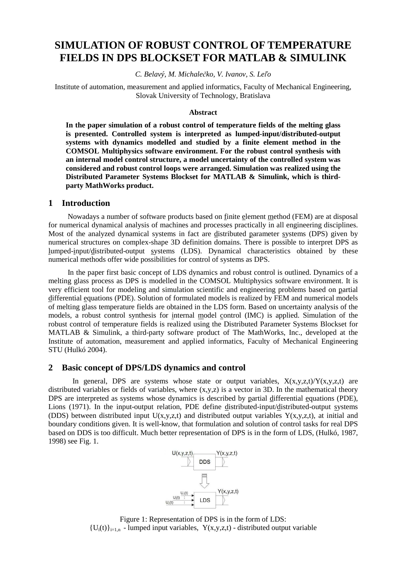# **SIMULATION OF ROBUST CONTROL OF TEMPERATURE FIELDS IN DPS BLOCKSET FOR MATLAB & SIMULINK**

*C. Belavý, M. Michale*č*ko, V. Ivanov, S. Le*ľ*o* 

Institute of automation, measurement and applied informatics, Faculty of Mechanical Engineering, Slovak University of Technology, Bratislava

#### **Abstract**

**In the paper simulation of a robust control of temperature fields of the melting glass is presented. Controlled system is interpreted as lumped-input/distributed-output systems with dynamics modelled and studied by a finite element method in the COMSOL Multiphysics software environment. For the robust control synthesis with an internal model control structure, a model uncertainty of the controlled system was considered and robust control loops were arranged. Simulation was realized using the Distributed Parameter Systems Blockset for MATLAB & Simulink, which is thirdparty MathWorks product.** 

#### **1 Introduction**

Nowadays a number of software products based on finite element method (FEM) are at disposal for numerical dynamical analysis of machines and processes practically in all engineering disciplines. Most of the analyzed dynamical systems in fact are distributed parameter systems (DPS) given by numerical structures on complex-shape 3D definition domains. There is possible to interpret DPS as lumped-input/distributed-output systems (LDS). Dynamical characteristics obtained by these numerical methods offer wide possibilities for control of systems as DPS.

In the paper first basic concept of LDS dynamics and robust control is outlined. Dynamics of a melting glass process as DPS is modelled in the COMSOL Multiphysics software environment. It is very efficient tool for modeling and simulation scientific and engineering problems based on partial differential equations (PDE). Solution of formulated models is realized by FEM and numerical models of melting glass temperature fields are obtained in the LDS form. Based on uncertainty analysis of the models, a robust control synthesis for internal model control (IMC) is applied. Simulation of the robust control of temperature fields is realized using the Distributed Parameter Systems Blockset for MATLAB & Simulink, a third-party software product of The MathWorks, Inc., developed at the Institute of automation, measurement and applied informatics, Faculty of Mechanical Engineering STU (Hulkó 2004).

### **2 Basic concept of DPS/LDS dynamics and control**

In general, DPS are systems whose state or output variables,  $X(x,y,z,t)/Y(x,y,z,t)$  are distributed variables or fields of variables, where  $(x,y,z)$  is a vector in 3D. In the mathematical theory DPS are interpreted as systems whose dynamics is described by partial differential equations (PDE), Lions (1971). In the input-output relation, PDE define distributed-input/distributed-output systems (DDS) between distributed input  $U(x,y,z,t)$  and distributed output variables  $Y(x,y,z,t)$ , at initial and boundary conditions given. It is well-know, that formulation and solution of control tasks for real DPS based on DDS is too difficult. Much better representation of DPS is in the form of LDS, (Hulkó, 1987, 1998) see Fig. 1.



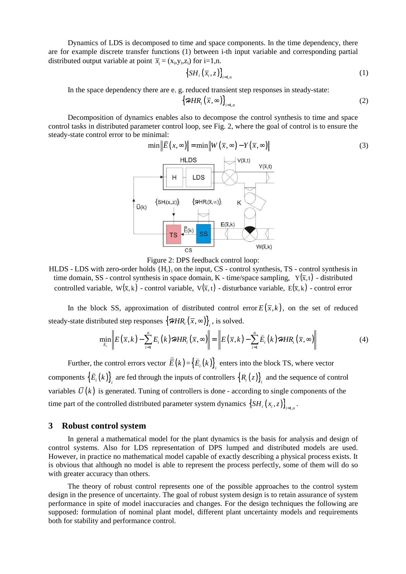Dynamics of LDS is decomposed to time and space components. In the time dependency, there are for example discrete transfer functions (1) between i-th input variable and corresponding partial distributed output variable at point  $\overline{x}_i = (x_i, y_i, z_i)$  for i=1,n.

$$
\left\{ SH_i\left(\overline{x}_i, z\right)\right\}_{i=1,n} \tag{1}
$$

In the space dependency there are e. g. reduced transient step responses in steady-state:  $\left\{\mathcal{H} H R_i\left(\overline{x},\infty\right)\right\}_{i=1,n}$  (2)

Decomposition of dynamics enables also to decompose the control synthesis to time and space control tasks in distributed parameter control loop, see Fig. 2, where the goal of control is to ensure the steady-state control error to be minimal:



Figure 2: DPS feedback control loop:

 $HLDS$  - LDS with zero-order holds  ${H_i}_i$  on the input, CS - control synthesis, TS - control synthesis in time domain, SS - control synthesis in space domain, K - time/space sampling,  $Y(\bar{x}, t)$  - distributed controlled variable,  $W(\bar{x},k)$  - control variable,  $V(\bar{x},t)$  - disturbance variable,  $E(\bar{x},k)$  - control error

In the block SS, approximation of distributed control error  $E(\bar{x}, k)$ , on the set of reduced steady-state distributed step responses  $\left\{\mathcal{A}HR_i\left(\overline{x},\infty\right)\right\}_i$ , is solved.

$$
\min_{E_i} \left\| E(\overline{x}, k) - \sum_{i=1}^n E_i(k) \mathcal{H} R_i(\overline{x}, \infty) \right\| = \left\| E(\overline{x}, k) - \sum_{i=1}^n \overline{E}_i(k) \mathcal{H} R_i(\overline{x}, \infty) \right\| \tag{4}
$$

Further, the control errors vector  $\overline{E}(k)$  $=\left\{ E_{i}(k)\right\} _{i}$ ⌣ enters into the block TS, where vector components  $\left\{E_i(k)\right\}_i$ ⌣ are fed through the inputs of controllers  $\{R_i(z)\}\$ i and the sequence of control variables  $\overline{U}(k)$  is generated. Tuning of controllers is done - according to single components of the time part of the controlled distributed parameter system dynamics  $\{SH_i(x_i, z)\}_{i=1,n}$ .

#### **3 Robust control system**

In general a mathematical model for the plant dynamics is the basis for analysis and design of control systems. Also for LDS representation of DPS lumped and distributed models are used. However, in practice no mathematical model capable of exactly describing a physical process exists. It is obvious that although no model is able to represent the process perfectly, some of them will do so with greater accuracy than others.

The theory of robust control represents one of the possible approaches to the control system design in the presence of uncertainty. The goal of robust system design is to retain assurance of system performance in spite of model inaccuracies and changes. For the design techniques the following are supposed: formulation of nominal plant model, different plant uncertainty models and requirements both for stability and performance control.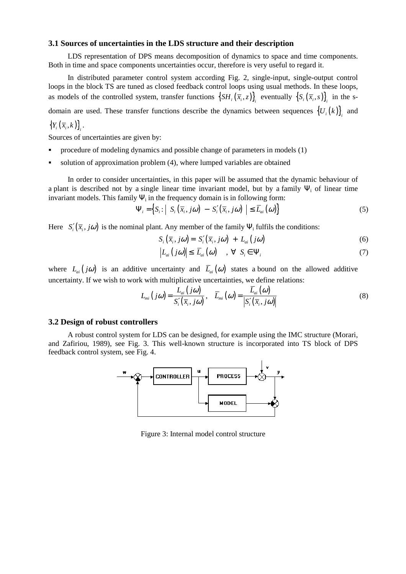#### **3.1 Sources of uncertainties in the LDS structure and their description**

LDS representation of DPS means decomposition of dynamics to space and time components. Both in time and space components uncertainties occur, therefore is very useful to regard it.

In distributed parameter control system according Fig. 2, single-input, single-output control loops in the block TS are tuned as closed feedback control loops using usual methods. In these loops, as models of the controlled system, transfer functions  $\{SH_i(\bar{x}_i, z)\}\$ <sub>i</sub> eventually  $\{S_i(\bar{x}_i, s)\}\$ <sub>i</sub> in the s-

domain are used. These transfer functions describe the dynamics between sequences  $\{U_i(k)\}\$ <sub>i</sub> and

## $\left\{Y_i\left(\overline{x}_i,k\right)\right\}_i$ .

Sources of uncertainties are given by:

- procedure of modeling dynamics and possible change of parameters in models (1)
- solution of approximation problem (4), where lumped variables are obtained

In order to consider uncertainties, in this paper will be assumed that the dynamic behaviour of a plant is described not by a single linear time invariant model, but by a family  $\Psi_i$  of linear time invariant models. This family  $\Psi_i$  in the frequency domain is in following form:

$$
\Psi_i = \left\{ S_i : \middle| S_i \left( \overline{x}_i, j\omega \right) - S'_i \left( \overline{x}_i, j\omega \right) \middle| \le \overline{L}_{ai} \left( \omega \right) \right\} \tag{5}
$$

Here  $S_i'(\overline{x}_i, j\omega)$  is the nominal plant. Any member of the family  $\Psi_i$  fulfils the conditions:

$$
S_i(\overline{x}_i, j\omega) = S'_i(\overline{x}_i, j\omega) + L_{ai}(j\omega)
$$
\n
$$
(6)
$$

$$
\left| L_{ai}(j\omega) \right| \le \overline{L}_{ai}(\omega) \quad , \ \forall \ \ S_i \in \Psi_i \tag{7}
$$

where  $L_{ai} ( j \omega )$  is an additive uncertainty and  $\bar{L}_{ai} (\omega )$  states a bound on the allowed additive uncertainty. If we wish to work with multiplicative uncertainties, we define relations:

$$
L_{mi}(j\omega) = \frac{L_{ai}(j\omega)}{S_i'(\overline{x}_i, j\omega)}, \quad \overline{L}_{mi}(\omega) = \frac{L_{ai}(\omega)}{|S_i'(\overline{x}_i, j\omega)|}
$$
(8)

#### **3.2 Design of robust controllers**

A robust control system for LDS can be designed, for example using the IMC structure (Morari, and Zafiriou, 1989), see Fig. 3. This well-known structure is incorporated into TS block of DPS feedback control system, see Fig. 4.



Figure 3: Internal model control structure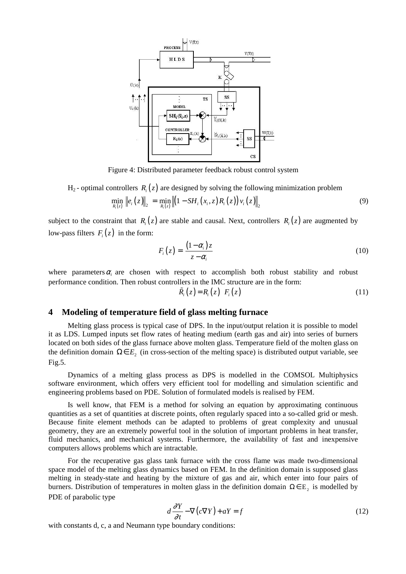

Figure 4: Distributed parameter feedback robust control system

 $H_2$ - optimal controllers  $R_i(z)$  are designed by solving the following minimization problem

$$
\min_{R_i(z)} \|e_i(z)\|_2 = \min_{R_i(z)} \|(1 - SH_i(x_i, z)R_i(z))v_i(z)\|_2
$$
\n(9)

subject to the constraint that  $R_i(z)$  are stable and causal. Next, controllers  $R_i(z)$  are augmented by low-pass filters  $F_i(z)$  in the form:

$$
F_i(z) = \frac{(1-\alpha_i)z}{z-\alpha_i} \tag{10}
$$

where parameters  $\alpha$ <sub>i</sub> are chosen with respect to accomplish both robust stability and robust performance condition. Then robust controllers in the IMC structure are in the form:

$$
\tilde{R}_i(z) = R_i(z) \quad F_i(z) \tag{11}
$$

## **4 Modeling of temperature field of glass melting furnace**

Melting glass process is typical case of DPS. In the input/output relation it is possible to model it as LDS. Lumped inputs set flow rates of heating medium (earth gas and air) into series of burners located on both sides of the glass furnace above molten glass. Temperature field of the molten glass on the definition domain  $\Omega \in E_2$  (in cross-section of the melting space) is distributed output variable, see Fig.5.

Dynamics of a melting glass process as DPS is modelled in the COMSOL Multiphysics software environment, which offers very efficient tool for modelling and simulation scientific and engineering problems based on PDE. Solution of formulated models is realised by FEM.

Is well know, that FEM is a method for solving an equation by approximating continuous quantities as a set of quantities at discrete points, often regularly spaced into a so-called grid or mesh. Because finite element methods can be adapted to problems of great complexity and unusual geometry, they are an extremely powerful tool in the solution of important problems in heat transfer, fluid mechanics, and mechanical systems. Furthermore, the availability of fast and inexpensive computers allows problems which are intractable.

For the recuperative gas glass tank furnace with the cross flame was made two-dimensional space model of the melting glass dynamics based on FEM. In the definition domain is supposed glass melting in steady-state and heating by the mixture of gas and air, which enter into four pairs of burners. Distribution of temperatures in molten glass in the definition domain  $\Omega \in E_2$  is modelled by PDE of parabolic type

$$
d\frac{\partial Y}{\partial t} - \nabla(c\nabla Y) + aY = f \tag{12}
$$

with constants d, c, a and Neumann type boundary conditions: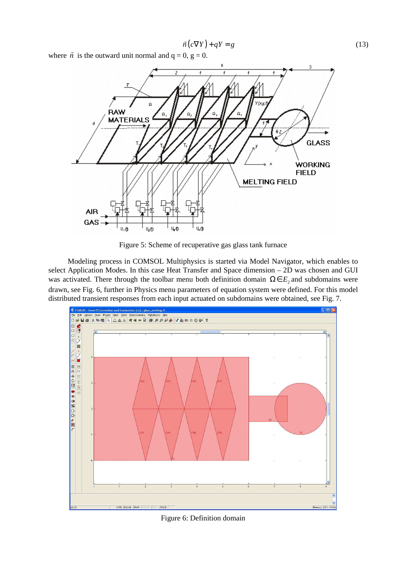$$
\vec{n}(c\nabla Y) + qY = g \tag{13}
$$

where *n*  $\overline{\phantom{a}}$ is the outward unit normal and  $q = 0$ ,  $g = 0$ .



Figure 5: Scheme of recuperative gas glass tank furnace

Modeling process in COMSOL Multiphysics is started via Model Navigator, which enables to select Application Modes. In this case Heat Transfer and Space dimension – 2D was chosen and GUI was activated. There through the toolbar menu both definition domain  $\Omega \in E_2$  and subdomains were drawn, see Fig. 6, further in Physics menu parameters of equation system were defined. For this model distributed transient responses from each input actuated on subdomains were obtained, see Fig. 7.



Figure 6: Definition domain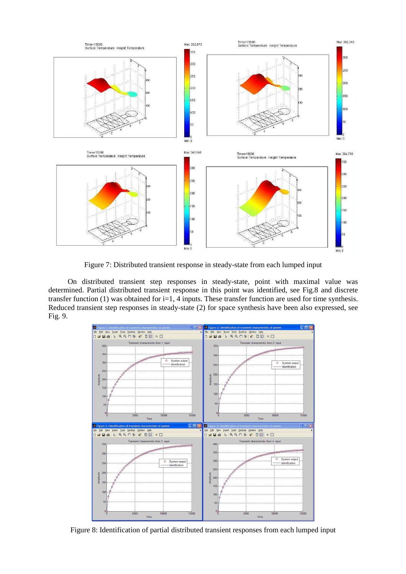

Figure 7: Distributed transient response in steady-state from each lumped input

On distributed transient step responses in steady-state, point with maximal value was determined. Partial distributed transient response in this point was identified, see Fig.8 and discrete transfer function (1) was obtained for  $i=1$ , 4 inputs. These transfer function are used for time synthesis. Reduced transient step responses in steady-state (2) for space synthesis have been also expressed, see Fig. 9.



Figure 8: Identification of partial distributed transient responses from each lumped input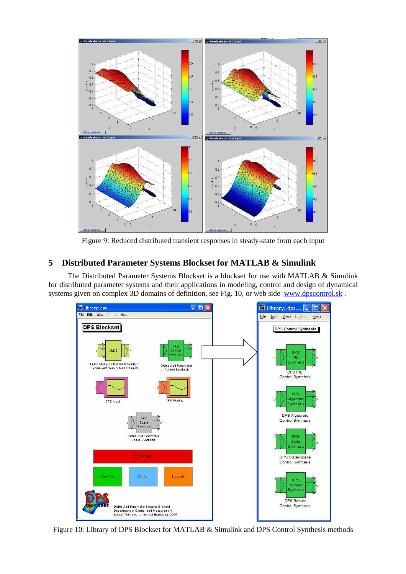

Figure 9: Reduced distributed transient responses in steady-state from each input

## **5 Distributed Parameter Systems Blockset for MATLAB & Simulink**

The Distributed Parameter Systems Blockset is a blockset for use with MATLAB & Simulink for distributed parameter systems and their applications in modeling, control and design of dynamical systems given on complex 3D domains of definition, see Fig. 10, or web side www.dpscontrol.sk.



Figure 10: Library of DPS Blockset for MATLAB & Simulink and DPS Control Synthesis methods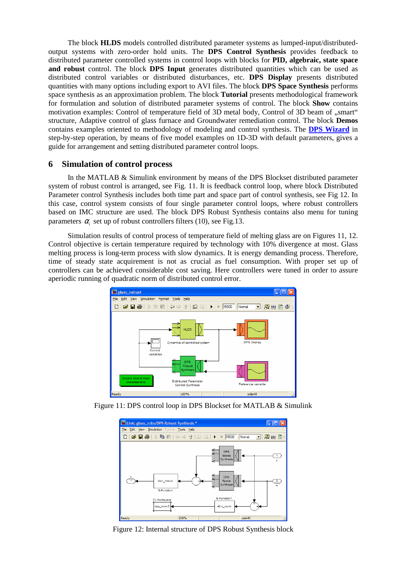The block **HLDS** models controlled distributed parameter systems as lumped-input/distributedoutput systems with zero-order hold units. The **DPS Control Synthesis** provides feedback to distributed parameter controlled systems in control loops with blocks for **PID, algebraic, state space and robust** control. The block **DPS Input** generates distributed quantities which can be used as distributed control variables or distributed disturbances, etc. **DPS Display** presents distributed quantities with many options including export to AVI files. The block **DPS Space Synthesis** performs space synthesis as an approximation problem. The block **Tutorial** presents methodological framework for formulation and solution of distributed parameter systems of control. The block **Show** contains motivation examples: Control of temperature field of 3D metal body, Control of 3D beam of ..smart" structure, Adaptive control of glass furnace and Groundwater remediation control. The block **Demos** contains examples oriented to methodology of modeling and control synthesis. The **DPS Wizard** in step-by-step operation, by means of five model examples on 1D-3D with default parameters, gives a guide for arrangement and setting distributed parameter control loops.

#### **6 Simulation of control process**

In the MATLAB & Simulink environment by means of the DPS Blockset distributed parameter system of robust control is arranged, see Fig. 11. It is feedback control loop, where block Distributed Parameter control Synthesis includes both time part and space part of control synthesis, see Fig 12. In this case, control system consists of four single parameter control loops, where robust controllers based on IMC structure are used. The block DPS Robust Synthesis contains also menu for tuning parameters  $\alpha$ <sub>i</sub> set up of robust controllers filters (10), see Fig.13.

Simulation results of control process of temperature field of melting glass are on Figures 11, 12. Control objective is certain temperature required by technology with 10% divergence at most. Glass melting process is long-term process with slow dynamics. It is energy demanding process. Therefore, time of steady state acquirement is not as crucial as fuel consumption. With proper set up of controllers can be achieved considerable cost saving. Here controllers were tuned in order to assure aperiodic running of quadratic norm of distributed control error.







Figure 12: Internal structure of DPS Robust Synthesis block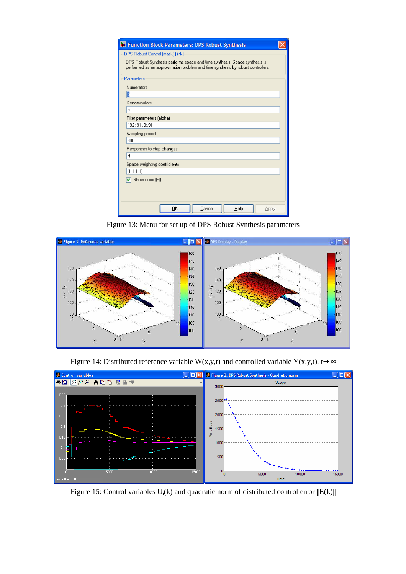| DPS Robust Synthesis performs space and time synthesis. Space synthesis is<br>performed as an approximation problem and time synthesis by robust controllers. |  |  |
|---------------------------------------------------------------------------------------------------------------------------------------------------------------|--|--|
| Parameters                                                                                                                                                    |  |  |
| <b>Numerators</b>                                                                                                                                             |  |  |
| ь                                                                                                                                                             |  |  |
| Denominators                                                                                                                                                  |  |  |
| a                                                                                                                                                             |  |  |
| Filter parameters (alpha)                                                                                                                                     |  |  |
| [.92;91;9;9]                                                                                                                                                  |  |  |
| Sampling period                                                                                                                                               |  |  |
| 300                                                                                                                                                           |  |  |
| Responses to step changes                                                                                                                                     |  |  |
| н                                                                                                                                                             |  |  |
| Space weighting coefficients                                                                                                                                  |  |  |
| [1111]                                                                                                                                                        |  |  |
| Show norm IIEII                                                                                                                                               |  |  |
|                                                                                                                                                               |  |  |

Figure 13: Menu for set up of DPS Robust Synthesis parameters



Figure 14: Distributed reference variable W(x,y,t) and controlled variable Y(x,y,t), t→∞



Figure 15: Control variables  $U_i(k)$  and quadratic norm of distributed control error  $||E(k)||$